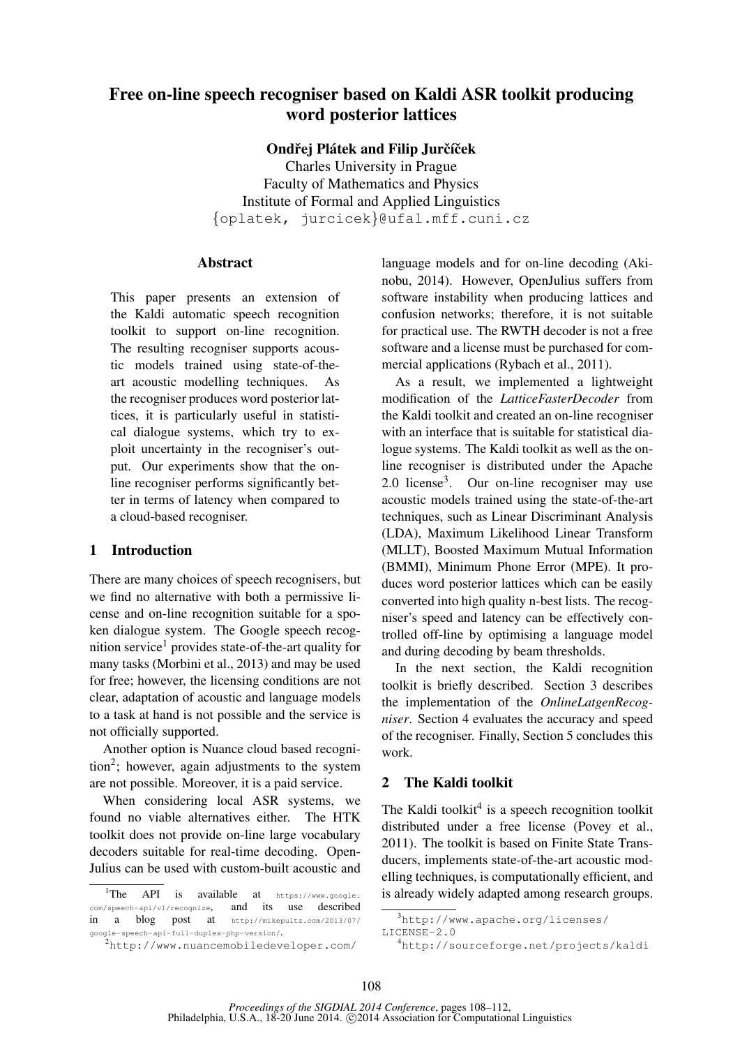# Free on-line speech recogniser based on Kaldi ASR toolkit producing word posterior lattices

Ondřej Plátek and Filip Jurčíček

Charles University in Prague Faculty of Mathematics and Physics Institute of Formal and Applied Linguistics {oplatek, jurcicek}@ufal.mff.cuni.cz

### **Abstract**

This paper presents an extension of the Kaldi automatic speech recognition toolkit to support on-line recognition. The resulting recogniser supports acoustic models trained using state-of-theart acoustic modelling techniques. As the recogniser produces word posterior lattices, it is particularly useful in statistical dialogue systems, which try to exploit uncertainty in the recogniser's output. Our experiments show that the online recogniser performs significantly better in terms of latency when compared to a cloud-based recogniser.

# 1 Introduction

There are many choices of speech recognisers, but we find no alternative with both a permissive license and on-line recognition suitable for a spoken dialogue system. The Google speech recognition service<sup>1</sup> provides state-of-the-art quality for many tasks (Morbini et al., 2013) and may be used for free; however, the licensing conditions are not clear, adaptation of acoustic and language models to a task at hand is not possible and the service is not officially supported.

Another option is Nuance cloud based recognition<sup>2</sup> ; however, again adjustments to the system are not possible. Moreover, it is a paid service.

When considering local ASR systems, we found no viable alternatives either. The HTK toolkit does not provide on-line large vocabulary decoders suitable for real-time decoding. Open-Julius can be used with custom-built acoustic and language models and for on-line decoding (Akinobu, 2014). However, OpenJulius suffers from software instability when producing lattices and confusion networks; therefore, it is not suitable for practical use. The RWTH decoder is not a free software and a license must be purchased for commercial applications (Rybach et al., 2011).

As a result, we implemented a lightweight modification of the *LatticeFasterDecoder* from the Kaldi toolkit and created an on-line recogniser with an interface that is suitable for statistical dialogue systems. The Kaldi toolkit as well as the online recogniser is distributed under the Apache 2.0 license<sup>3</sup> . Our on-line recogniser may use acoustic models trained using the state-of-the-art techniques, such as Linear Discriminant Analysis (LDA), Maximum Likelihood Linear Transform (MLLT), Boosted Maximum Mutual Information (BMMI), Minimum Phone Error (MPE). It produces word posterior lattices which can be easily converted into high quality n-best lists. The recogniser's speed and latency can be effectively controlled off-line by optimising a language model and during decoding by beam thresholds.

In the next section, the Kaldi recognition toolkit is briefly described. Section 3 describes the implementation of the *OnlineLatgenRecogniser*. Section 4 evaluates the accuracy and speed of the recogniser. Finally, Section 5 concludes this work.

# 2 The Kaldi toolkit

The Kaldi toolkit $4$  is a speech recognition toolkit distributed under a free license (Povey et al., 2011). The toolkit is based on Finite State Transducers, implements state-of-the-art acoustic modelling techniques, is computationally efficient, and is already widely adapted among research groups.

<sup>&</sup>lt;sup>1</sup>The API is available at  $h$ ttps://www.google. com/speech-api/v1/recognize, and its use described in a blog post at http://mikepultz.com/2013/07/ google-speech-api-full-duplex-php-version/.

<sup>2</sup>http://www.nuancemobiledeveloper.com/

 $3$ http://www.apache.org/licenses/ LICENSE-2.0

<sup>4</sup>http://sourceforge.net/projects/kaldi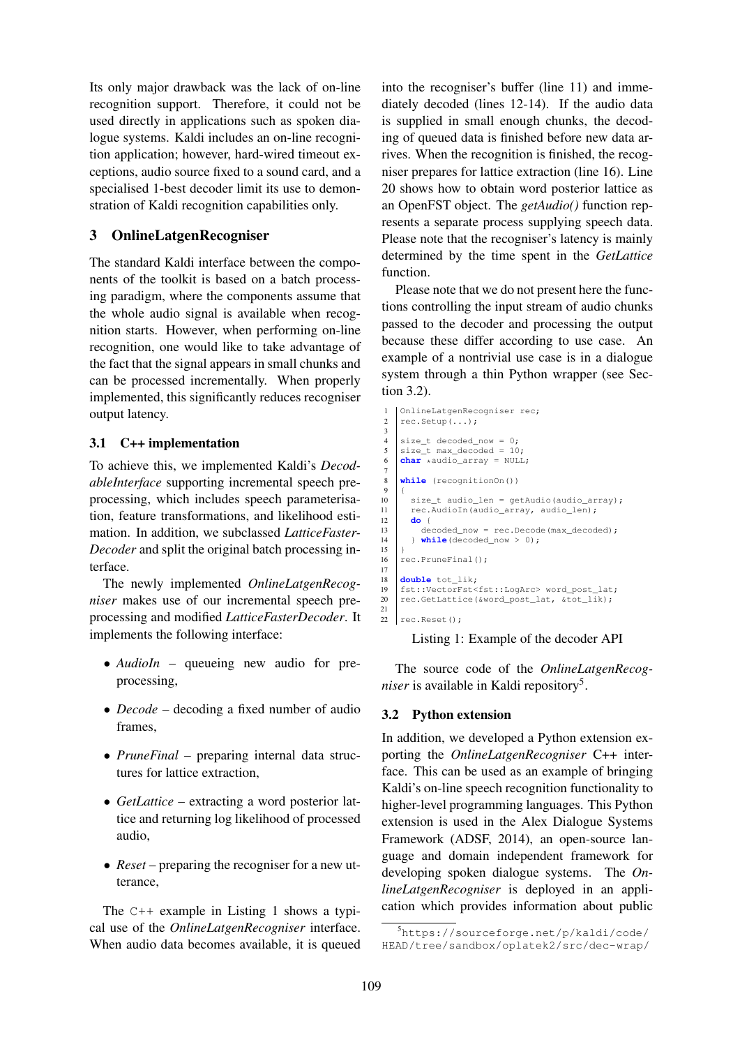Its only major drawback was the lack of on-line recognition support. Therefore, it could not be used directly in applications such as spoken dialogue systems. Kaldi includes an on-line recognition application; however, hard-wired timeout exceptions, audio source fixed to a sound card, and a specialised 1-best decoder limit its use to demonstration of Kaldi recognition capabilities only.

# 3 OnlineLatgenRecogniser

The standard Kaldi interface between the components of the toolkit is based on a batch processing paradigm, where the components assume that the whole audio signal is available when recognition starts. However, when performing on-line recognition, one would like to take advantage of the fact that the signal appears in small chunks and can be processed incrementally. When properly implemented, this significantly reduces recogniser output latency.

# 3.1 C++ implementation

To achieve this, we implemented Kaldi's *DecodableInterface* supporting incremental speech preprocessing, which includes speech parameterisation, feature transformations, and likelihood estimation. In addition, we subclassed *LatticeFaster-Decoder* and split the original batch processing interface.

The newly implemented *OnlineLatgenRecogniser* makes use of our incremental speech preprocessing and modified *LatticeFasterDecoder*. It implements the following interface:

- *AudioIn* queueing new audio for preprocessing,
- *Decode* decoding a fixed number of audio frames,
- *PruneFinal* preparing internal data structures for lattice extraction,
- *GetLattice* extracting a word posterior lattice and returning log likelihood of processed audio,
- *Reset* preparing the recogniser for a new utterance,

The C++ example in Listing 1 shows a typical use of the *OnlineLatgenRecogniser* interface. When audio data becomes available, it is queued

into the recogniser's buffer (line 11) and immediately decoded (lines 12-14). If the audio data is supplied in small enough chunks, the decoding of queued data is finished before new data arrives. When the recognition is finished, the recogniser prepares for lattice extraction (line 16). Line 20 shows how to obtain word posterior lattice as an OpenFST object. The *getAudio()* function represents a separate process supplying speech data. Please note that the recogniser's latency is mainly determined by the time spent in the *GetLattice* function.

Please note that we do not present here the functions controlling the input stream of audio chunks passed to the decoder and processing the output because these differ according to use case. An example of a nontrivial use case is in a dialogue system through a thin Python wrapper (see Section 3.2).

```
OnlineLatgenRecogniser rec;
 2 rec.setup(...);3
 4 size t decoded now = 0:
        size_t max_decoded = 10;
        char *audio_array = NULL;
  7
 8 while (recognitionOn())
 \overline{9}10 \begin{bmatrix} \text{size}_{\text{t}} \text{addi}_{\text{t}} \end{bmatrix} and \begin{bmatrix} \text{size}_{\text{t}} \text{addi}_{\text{t}} \end{bmatrix} and \begin{bmatrix} \text{size}_{\text{t}} \text{addi}_{\text{t}} \end{bmatrix} and \begin{bmatrix} \text{area}_{\text{t}} \text{addi}_{\text{t}} \end{bmatrix} and \begin{bmatrix} \text{area}_{\text{t}} \text{and} \text{linear} \end{bmatrix}11 rec.AudioIn(audio_array, audio_len);
\begin{array}{c|c} 12 & \text{do} & \text{f} \\ 13 & & \text{de} \end{array}13 decoded_now = rec.Decode(max_decoded);<br>14 while(decoded now > 0):
            14 } while(decoded_now > 0);
15 }
16 rec. PruneFinal():
17
18 double tot_lik;<br>19 fst::VectorFst<
        19 fst::VectorFst<fst::LogArc> word_post_lat;
20 rec.GetLattice(&word_post_lat, &tot_lik);
21
22 \mid rec. Reset ():
```
Listing 1: Example of the decoder API

The source code of the *OnlineLatgenRecog*niser is available in Kaldi repository<sup>5</sup>.

### 3.2 Python extension

In addition, we developed a Python extension exporting the *OnlineLatgenRecogniser* C++ interface. This can be used as an example of bringing Kaldi's on-line speech recognition functionality to higher-level programming languages. This Python extension is used in the Alex Dialogue Systems Framework (ADSF, 2014), an open-source language and domain independent framework for developing spoken dialogue systems. The *OnlineLatgenRecogniser* is deployed in an application which provides information about public

<sup>5</sup>https://sourceforge.net/p/kaldi/code/ HEAD/tree/sandbox/oplatek2/src/dec-wrap/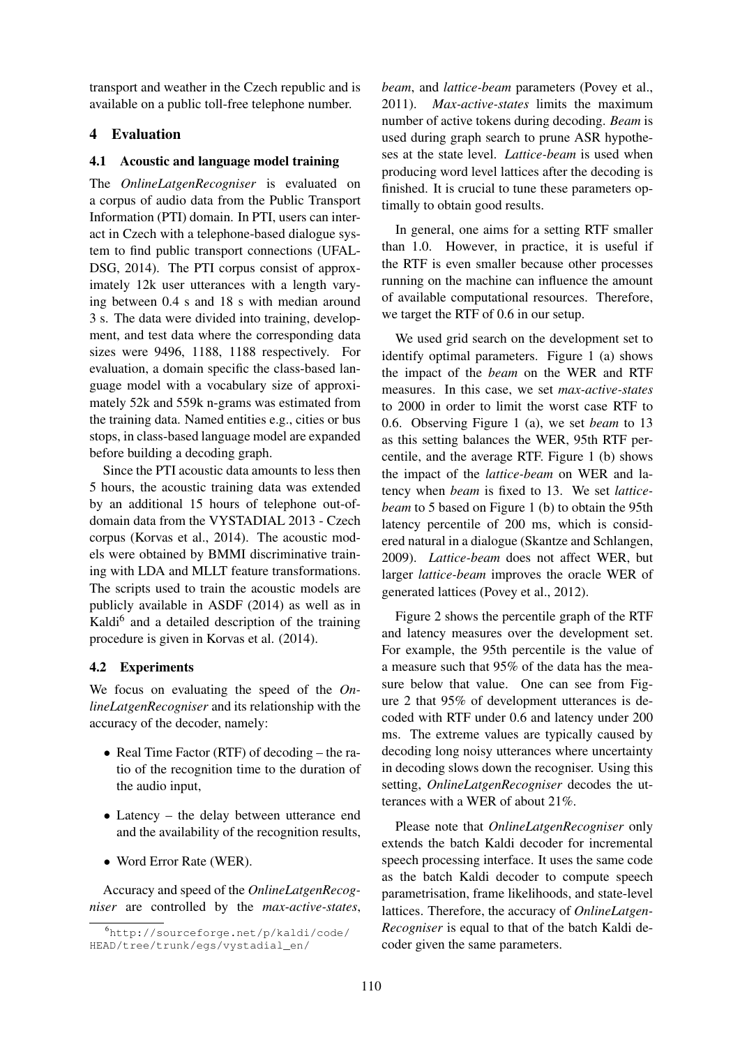transport and weather in the Czech republic and is available on a public toll-free telephone number.

# 4 Evaluation

### 4.1 Acoustic and language model training

The *OnlineLatgenRecogniser* is evaluated on a corpus of audio data from the Public Transport Information (PTI) domain. In PTI, users can interact in Czech with a telephone-based dialogue system to find public transport connections (UFAL-DSG, 2014). The PTI corpus consist of approximately 12k user utterances with a length varying between 0.4 s and 18 s with median around 3 s. The data were divided into training, development, and test data where the corresponding data sizes were 9496, 1188, 1188 respectively. For evaluation, a domain specific the class-based language model with a vocabulary size of approximately 52k and 559k n-grams was estimated from the training data. Named entities e.g., cities or bus stops, in class-based language model are expanded before building a decoding graph.

Since the PTI acoustic data amounts to less then 5 hours, the acoustic training data was extended by an additional 15 hours of telephone out-ofdomain data from the VYSTADIAL 2013 - Czech corpus (Korvas et al., 2014). The acoustic models were obtained by BMMI discriminative training with LDA and MLLT feature transformations. The scripts used to train the acoustic models are publicly available in ASDF (2014) as well as in Kaldi<sup>6</sup> and a detailed description of the training procedure is given in Korvas et al. (2014).

# 4.2 Experiments

We focus on evaluating the speed of the *OnlineLatgenRecogniser* and its relationship with the accuracy of the decoder, namely:

- Real Time Factor (RTF) of decoding the ratio of the recognition time to the duration of the audio input,
- Latency the delay between utterance end and the availability of the recognition results,
- Word Error Rate (WER).

Accuracy and speed of the *OnlineLatgenRecogniser* are controlled by the *max-active-states*, *beam*, and *lattice-beam* parameters (Povey et al., 2011). *Max-active-states* limits the maximum number of active tokens during decoding. *Beam* is used during graph search to prune ASR hypotheses at the state level. *Lattice-beam* is used when producing word level lattices after the decoding is finished. It is crucial to tune these parameters optimally to obtain good results.

In general, one aims for a setting RTF smaller than 1.0. However, in practice, it is useful if the RTF is even smaller because other processes running on the machine can influence the amount of available computational resources. Therefore, we target the RTF of 0.6 in our setup.

We used grid search on the development set to identify optimal parameters. Figure 1 (a) shows the impact of the *beam* on the WER and RTF measures. In this case, we set *max-active-states* to 2000 in order to limit the worst case RTF to 0.6. Observing Figure 1 (a), we set *beam* to 13 as this setting balances the WER, 95th RTF percentile, and the average RTF. Figure 1 (b) shows the impact of the *lattice-beam* on WER and latency when *beam* is fixed to 13. We set *latticebeam* to 5 based on Figure 1 (b) to obtain the 95th latency percentile of 200 ms, which is considered natural in a dialogue (Skantze and Schlangen, 2009). *Lattice-beam* does not affect WER, but larger *lattice-beam* improves the oracle WER of generated lattices (Povey et al., 2012).

Figure 2 shows the percentile graph of the RTF and latency measures over the development set. For example, the 95th percentile is the value of a measure such that 95% of the data has the measure below that value. One can see from Figure 2 that 95% of development utterances is decoded with RTF under 0.6 and latency under 200 ms. The extreme values are typically caused by decoding long noisy utterances where uncertainty in decoding slows down the recogniser. Using this setting, *OnlineLatgenRecogniser* decodes the utterances with a WER of about 21%.

Please note that *OnlineLatgenRecogniser* only extends the batch Kaldi decoder for incremental speech processing interface. It uses the same code as the batch Kaldi decoder to compute speech parametrisation, frame likelihoods, and state-level lattices. Therefore, the accuracy of *OnlineLatgen-Recogniser* is equal to that of the batch Kaldi decoder given the same parameters.

<sup>6</sup>http://sourceforge.net/p/kaldi/code/ HEAD/tree/trunk/egs/vystadial\_en/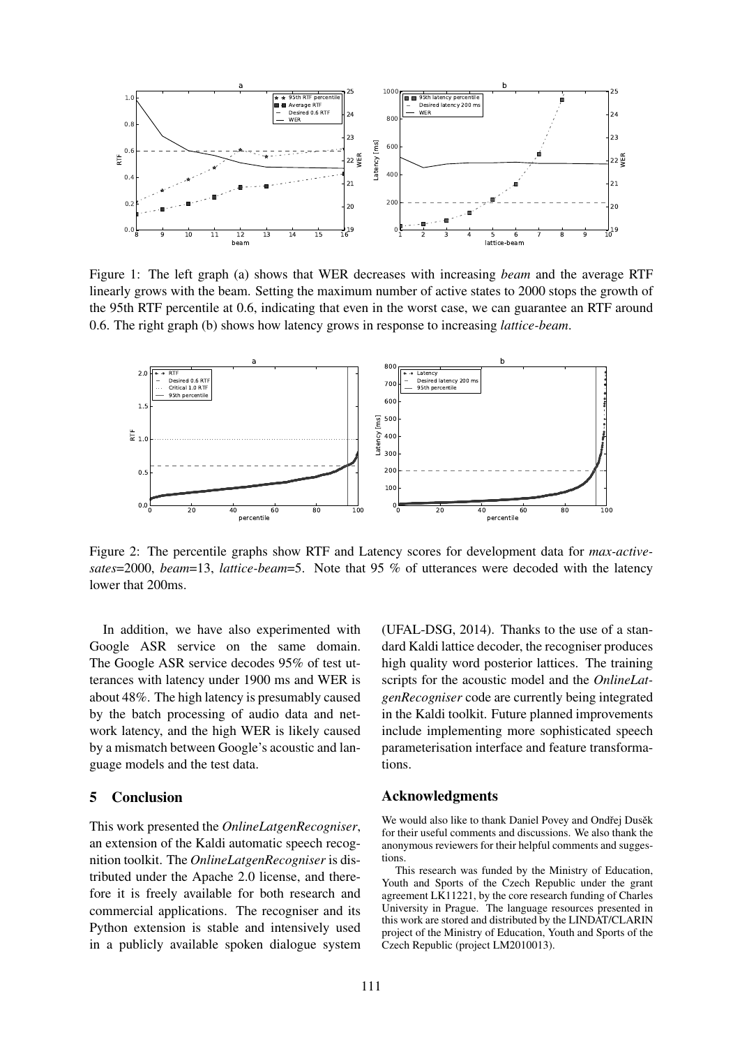

Figure 1: The left graph (a) shows that WER decreases with increasing *beam* and the average RTF linearly grows with the beam. Setting the maximum number of active states to 2000 stops the growth of the 95th RTF percentile at 0.6, indicating that even in the worst case, we can guarantee an RTF around 0.6. The right graph (b) shows how latency grows in response to increasing *lattice-beam*.



Figure 2: The percentile graphs show RTF and Latency scores for development data for *max-activesates*=2000, *beam*=13, *lattice-beam*=5. Note that 95 % of utterances were decoded with the latency lower that 200ms.

In addition, we have also experimented with Google ASR service on the same domain. The Google ASR service decodes 95% of test utterances with latency under 1900 ms and WER is about 48%. The high latency is presumably caused by the batch processing of audio data and network latency, and the high WER is likely caused by a mismatch between Google's acoustic and language models and the test data.

### 5 Conclusion

This work presented the *OnlineLatgenRecogniser*, an extension of the Kaldi automatic speech recognition toolkit. The *OnlineLatgenRecogniser* is distributed under the Apache 2.0 license, and therefore it is freely available for both research and commercial applications. The recogniser and its Python extension is stable and intensively used in a publicly available spoken dialogue system (UFAL-DSG, 2014). Thanks to the use of a standard Kaldi lattice decoder, the recogniser produces high quality word posterior lattices. The training scripts for the acoustic model and the *OnlineLatgenRecogniser* code are currently being integrated in the Kaldi toolkit. Future planned improvements include implementing more sophisticated speech parameterisation interface and feature transformations.

### Acknowledgments

We would also like to thank Daniel Povey and Ondřej Dusěk for their useful comments and discussions. We also thank the anonymous reviewers for their helpful comments and suggestions.

This research was funded by the Ministry of Education, Youth and Sports of the Czech Republic under the grant agreement LK11221, by the core research funding of Charles University in Prague. The language resources presented in this work are stored and distributed by the LINDAT/CLARIN project of the Ministry of Education, Youth and Sports of the Czech Republic (project LM2010013).